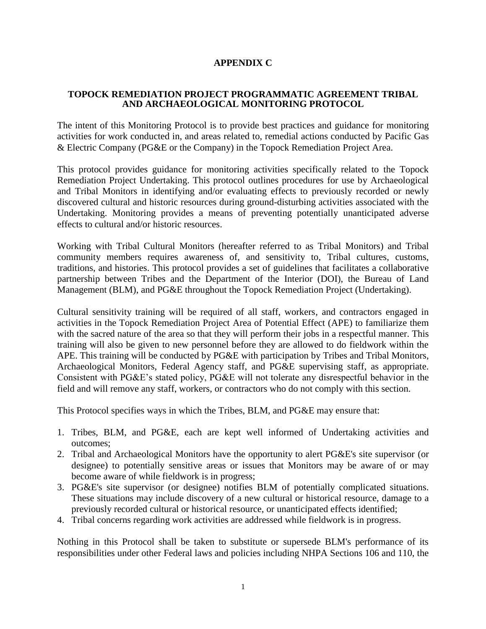## **APPENDIX C**

#### **TOPOCK REMEDIATION PROJECT PROGRAMMATIC AGREEMENT TRIBAL AND ARCHAEOLOGICAL MONITORING PROTOCOL**

The intent of this Monitoring Protocol is to provide best practices and guidance for monitoring activities for work conducted in, and areas related to, remedial actions conducted by Pacific Gas & Electric Company (PG&E or the Company) in the Topock Remediation Project Area.

This protocol provides guidance for monitoring activities specifically related to the Topock Remediation Project Undertaking. This protocol outlines procedures for use by Archaeological and Tribal Monitors in identifying and/or evaluating effects to previously recorded or newly discovered cultural and historic resources during ground-disturbing activities associated with the Undertaking. Monitoring provides a means of preventing potentially unanticipated adverse effects to cultural and/or historic resources.

Working with Tribal Cultural Monitors (hereafter referred to as Tribal Monitors) and Tribal community members requires awareness of, and sensitivity to, Tribal cultures, customs, traditions, and histories. This protocol provides a set of guidelines that facilitates a collaborative partnership between Tribes and the Department of the Interior (DOI), the Bureau of Land Management (BLM), and PG&E throughout the Topock Remediation Project (Undertaking).

Cultural sensitivity training will be required of all staff, workers, and contractors engaged in activities in the Topock Remediation Project Area of Potential Effect (APE) to familiarize them with the sacred nature of the area so that they will perform their jobs in a respectful manner. This training will also be given to new personnel before they are allowed to do fieldwork within the APE. This training will be conducted by PG&E with participation by Tribes and Tribal Monitors, Archaeological Monitors, Federal Agency staff, and PG&E supervising staff, as appropriate. Consistent with PG&E's stated policy, PG&E will not tolerate any disrespectful behavior in the field and will remove any staff, workers, or contractors who do not comply with this section.

This Protocol specifies ways in which the Tribes, BLM, and PG&E may ensure that:

- 1. Tribes, BLM, and PG&E, each are kept well informed of Undertaking activities and outcomes;
- 2. Tribal and Archaeological Monitors have the opportunity to alert PG&E's site supervisor (or designee) to potentially sensitive areas or issues that Monitors may be aware of or may become aware of while fieldwork is in progress;
- 3. PG&E's site supervisor (or designee) notifies BLM of potentially complicated situations. These situations may include discovery of a new cultural or historical resource, damage to a previously recorded cultural or historical resource, or unanticipated effects identified;
- 4. Tribal concerns regarding work activities are addressed while fieldwork is in progress.

Nothing in this Protocol shall be taken to substitute or supersede BLM's performance of its responsibilities under other Federal laws and policies including NHPA Sections 106 and 110, the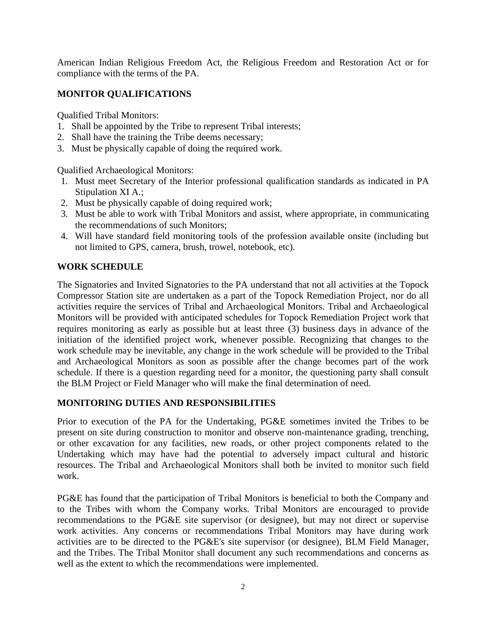American Indian Religious Freedom Act, the Religious Freedom and Restoration Act or for compliance with the terms of the PA.

# **MONITOR QUALIFICATIONS**

Qualified Tribal Monitors:

- 1. Shall be appointed by the Tribe to represent Tribal interests;
- 2. Shall have the training the Tribe deems necessary;
- 3. Must be physically capable of doing the required work.

Qualified Archaeological Monitors:

- 1. Must meet Secretary of the Interior professional qualification standards as indicated in PA Stipulation XI A.;
- 2. Must be physically capable of doing required work;
- 3. Must be able to work with Tribal Monitors and assist, where appropriate, in communicating the recommendations of such Monitors;
- 4. Will have standard field monitoring tools of the profession available onsite (including but not limited to GPS, camera, brush, trowel, notebook, etc).

#### **WORK SCHEDULE**

The Signatories and Invited Signatories to the PA understand that not all activities at the Topock Compressor Station site are undertaken as a part of the Topock Remediation Project, nor do all activities require the services of Tribal and Archaeological Monitors. Tribal and Archaeological Monitors will be provided with anticipated schedules for Topock Remediation Project work that requires monitoring as early as possible but at least three (3) business days in advance of the initiation of the identified project work, whenever possible. Recognizing that changes to the work schedule may be inevitable, any change in the work schedule will be provided to the Tribal and Archaeological Monitors as soon as possible after the change becomes part of the work schedule. If there is a question regarding need for a monitor, the questioning party shall consult the BLM Project or Field Manager who will make the final determination of need.

#### **MONITORING DUTIES AND RESPONSIBILITIES**

Prior to execution of the PA for the Undertaking, PG&E sometimes invited the Tribes to be present on site during construction to monitor and observe non-maintenance grading, trenching, or other excavation for any facilities, new roads, or other project components related to the Undertaking which may have had the potential to adversely impact cultural and historic resources. The Tribal and Archaeological Monitors shall both be invited to monitor such field work.

PG&E has found that the participation of Tribal Monitors is beneficial to both the Company and to the Tribes with whom the Company works. Tribal Monitors are encouraged to provide recommendations to the PG&E site supervisor (or designee), but may not direct or supervise work activities. Any concerns or recommendations Tribal Monitors may have during work activities are to be directed to the PG&E's site supervisor (or designee), BLM Field Manager, and the Tribes. The Tribal Monitor shall document any such recommendations and concerns as well as the extent to which the recommendations were implemented.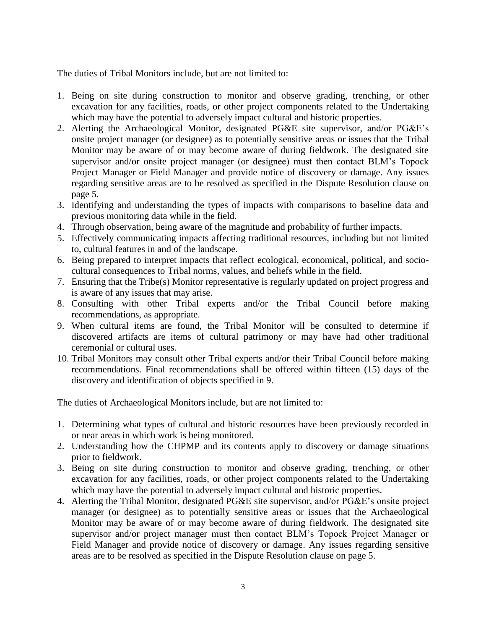The duties of Tribal Monitors include, but are not limited to:

- 1. Being on site during construction to monitor and observe grading, trenching, or other excavation for any facilities, roads, or other project components related to the Undertaking which may have the potential to adversely impact cultural and historic properties.
- 2. Alerting the Archaeological Monitor, designated PG&E site supervisor, and/or PG&E's onsite project manager (or designee) as to potentially sensitive areas or issues that the Tribal Monitor may be aware of or may become aware of during fieldwork. The designated site supervisor and/or onsite project manager (or designee) must then contact BLM's Topock Project Manager or Field Manager and provide notice of discovery or damage. Any issues regarding sensitive areas are to be resolved as specified in the Dispute Resolution clause on page 5.
- 3. Identifying and understanding the types of impacts with comparisons to baseline data and previous monitoring data while in the field.
- 4. Through observation, being aware of the magnitude and probability of further impacts.
- 5. Effectively communicating impacts affecting traditional resources, including but not limited to, cultural features in and of the landscape.
- 6. Being prepared to interpret impacts that reflect ecological, economical, political, and sociocultural consequences to Tribal norms, values, and beliefs while in the field.
- 7. Ensuring that the Tribe(s) Monitor representative is regularly updated on project progress and is aware of any issues that may arise.
- 8. Consulting with other Tribal experts and/or the Tribal Council before making recommendations, as appropriate.
- 9. When cultural items are found, the Tribal Monitor will be consulted to determine if discovered artifacts are items of cultural patrimony or may have had other traditional ceremonial or cultural uses.
- 10. Tribal Monitors may consult other Tribal experts and/or their Tribal Council before making recommendations. Final recommendations shall be offered within fifteen (15) days of the discovery and identification of objects specified in 9.

The duties of Archaeological Monitors include, but are not limited to:

- 1. Determining what types of cultural and historic resources have been previously recorded in or near areas in which work is being monitored.
- 2. Understanding how the CHPMP and its contents apply to discovery or damage situations prior to fieldwork.
- 3. Being on site during construction to monitor and observe grading, trenching, or other excavation for any facilities, roads, or other project components related to the Undertaking which may have the potential to adversely impact cultural and historic properties.
- 4. Alerting the Tribal Monitor, designated PG&E site supervisor, and/or PG&E's onsite project manager (or designee) as to potentially sensitive areas or issues that the Archaeological Monitor may be aware of or may become aware of during fieldwork. The designated site supervisor and/or project manager must then contact BLM's Topock Project Manager or Field Manager and provide notice of discovery or damage. Any issues regarding sensitive areas are to be resolved as specified in the Dispute Resolution clause on page 5.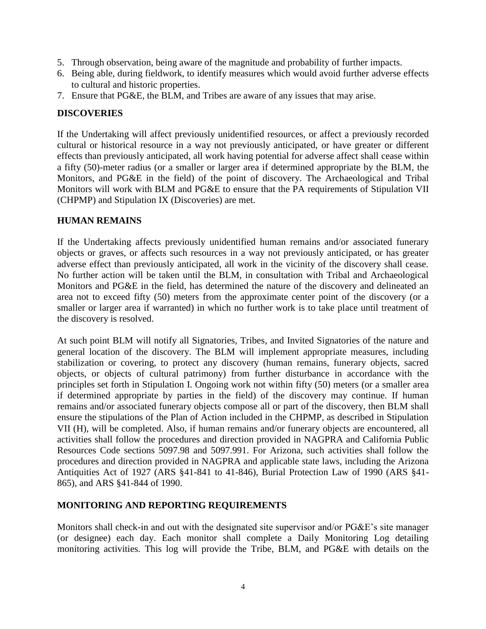- 5. Through observation, being aware of the magnitude and probability of further impacts.
- 6. Being able, during fieldwork, to identify measures which would avoid further adverse effects to cultural and historic properties.
- 7. Ensure that PG&E, the BLM, and Tribes are aware of any issues that may arise.

## **DISCOVERIES**

If the Undertaking will affect previously unidentified resources, or affect a previously recorded cultural or historical resource in a way not previously anticipated, or have greater or different effects than previously anticipated, all work having potential for adverse affect shall cease within a fifty (50)-meter radius (or a smaller or larger area if determined appropriate by the BLM, the Monitors, and PG&E in the field) of the point of discovery. The Archaeological and Tribal Monitors will work with BLM and PG&E to ensure that the PA requirements of Stipulation VII (CHPMP) and Stipulation IX (Discoveries) are met.

## **HUMAN REMAINS**

If the Undertaking affects previously unidentified human remains and/or associated funerary objects or graves, or affects such resources in a way not previously anticipated, or has greater adverse effect than previously anticipated, all work in the vicinity of the discovery shall cease. No further action will be taken until the BLM, in consultation with Tribal and Archaeological Monitors and PG&E in the field, has determined the nature of the discovery and delineated an area not to exceed fifty (50) meters from the approximate center point of the discovery (or a smaller or larger area if warranted) in which no further work is to take place until treatment of the discovery is resolved.

At such point BLM will notify all Signatories, Tribes, and Invited Signatories of the nature and general location of the discovery. The BLM will implement appropriate measures, including stabilization or covering, to protect any discovery (human remains, funerary objects, sacred objects, or objects of cultural patrimony) from further disturbance in accordance with the principles set forth in Stipulation I. Ongoing work not within fifty (50) meters (or a smaller area if determined appropriate by parties in the field) of the discovery may continue. If human remains and/or associated funerary objects compose all or part of the discovery, then BLM shall ensure the stipulations of the Plan of Action included in the CHPMP, as described in Stipulation VII (H), will be completed. Also, if human remains and/or funerary objects are encountered, all activities shall follow the procedures and direction provided in NAGPRA and California Public Resources Code sections 5097.98 and 5097.991. For Arizona, such activities shall follow the procedures and direction provided in NAGPRA and applicable state laws, including the Arizona Antiquities Act of 1927 (ARS §41-841 to 41-846), Burial Protection Law of 1990 (ARS §41- 865), and ARS §41-844 of 1990.

## **MONITORING AND REPORTING REQUIREMENTS**

Monitors shall check-in and out with the designated site supervisor and/or PG&E's site manager (or designee) each day. Each monitor shall complete a Daily Monitoring Log detailing monitoring activities. This log will provide the Tribe, BLM, and PG&E with details on the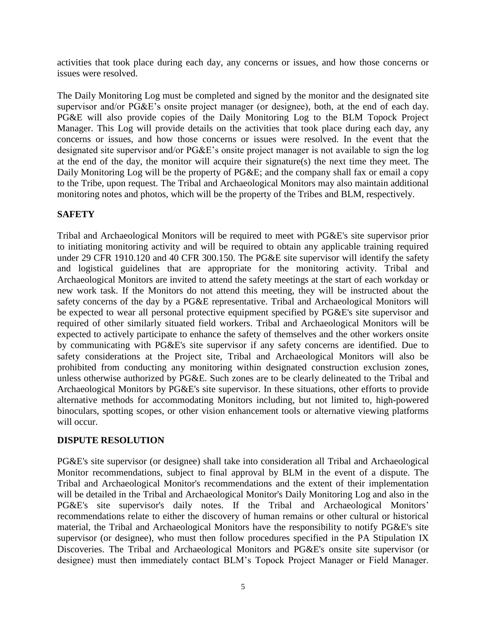activities that took place during each day, any concerns or issues, and how those concerns or issues were resolved.

The Daily Monitoring Log must be completed and signed by the monitor and the designated site supervisor and/or PG&E's onsite project manager (or designee), both, at the end of each day. PG&E will also provide copies of the Daily Monitoring Log to the BLM Topock Project Manager. This Log will provide details on the activities that took place during each day, any concerns or issues, and how those concerns or issues were resolved. In the event that the designated site supervisor and/or PG&E's onsite project manager is not available to sign the log at the end of the day, the monitor will acquire their signature(s) the next time they meet. The Daily Monitoring Log will be the property of PG&E; and the company shall fax or email a copy to the Tribe, upon request. The Tribal and Archaeological Monitors may also maintain additional monitoring notes and photos, which will be the property of the Tribes and BLM, respectively.

# **SAFETY**

Tribal and Archaeological Monitors will be required to meet with PG&E's site supervisor prior to initiating monitoring activity and will be required to obtain any applicable training required under 29 CFR 1910.120 and 40 CFR 300.150. The PG&E site supervisor will identify the safety and logistical guidelines that are appropriate for the monitoring activity. Tribal and Archaeological Monitors are invited to attend the safety meetings at the start of each workday or new work task. If the Monitors do not attend this meeting, they will be instructed about the safety concerns of the day by a PG&E representative. Tribal and Archaeological Monitors will be expected to wear all personal protective equipment specified by PG&E's site supervisor and required of other similarly situated field workers. Tribal and Archaeological Monitors will be expected to actively participate to enhance the safety of themselves and the other workers onsite by communicating with PG&E's site supervisor if any safety concerns are identified. Due to safety considerations at the Project site, Tribal and Archaeological Monitors will also be prohibited from conducting any monitoring within designated construction exclusion zones, unless otherwise authorized by PG&E. Such zones are to be clearly delineated to the Tribal and Archaeological Monitors by PG&E's site supervisor. In these situations, other efforts to provide alternative methods for accommodating Monitors including, but not limited to, high-powered binoculars, spotting scopes, or other vision enhancement tools or alternative viewing platforms will occur.

## **DISPUTE RESOLUTION**

PG&E's site supervisor (or designee) shall take into consideration all Tribal and Archaeological Monitor recommendations, subject to final approval by BLM in the event of a dispute. The Tribal and Archaeological Monitor's recommendations and the extent of their implementation will be detailed in the Tribal and Archaeological Monitor's Daily Monitoring Log and also in the PG&E's site supervisor's daily notes. If the Tribal and Archaeological Monitors' recommendations relate to either the discovery of human remains or other cultural or historical material, the Tribal and Archaeological Monitors have the responsibility to notify PG&E's site supervisor (or designee), who must then follow procedures specified in the PA Stipulation IX Discoveries. The Tribal and Archaeological Monitors and PG&E's onsite site supervisor (or designee) must then immediately contact BLM's Topock Project Manager or Field Manager.